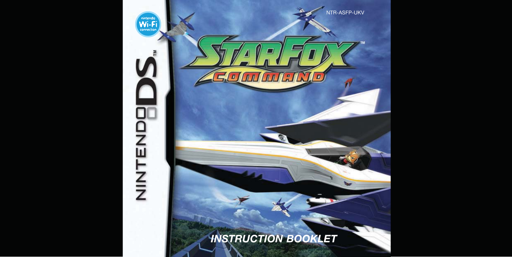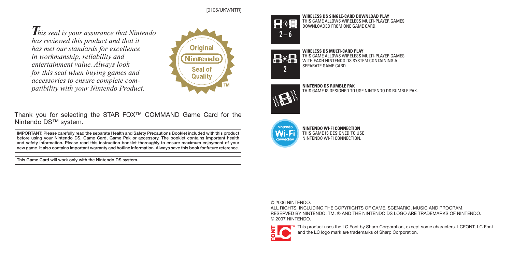#### [0105/UKV/NTR]

*This seal is your assurance that Nintendo has reviewed this product and that it has met our standards for excellence in workmanship, reliability and entertainment value. Always look for this seal when buying games and accessories to ensure complete compatibility with your Nintendo Product.*



Thank you for selecting the STAR FOX™ COMMAND Game Card for the Nintendo DS™ system.

IMPORTANT: Please carefully read the separate Health and Safety Precautions Booklet included with this product before using your Nintendo DS, Game Card, Game Pak or accessory. The booklet contains important health and safety information. Please read this instruction booklet thoroughly to ensure maximum enjoyment of your new game. It also contains important warranty and hotline information. Always save this book for future reference.

This Game Card will work only with the Nintendo DS system.



**WIRELESS DS SINGLE-CARD DOWNLOAD PLAY** THIS GAME ALLOWS WIRELESS MULTI-PLAYER GAMES DOWNLOADED FROM ONE GAME CARD.

# **WIRELESS DS MULTI-CARD PLAY**

THIS GAME ALLOWS WIRELESS MULTI-PLAYER GAMES 昌州县 WITH EACH NINTENDO DS SYSTEM CONTAINING A SEPARATE GAME CARD. 2



**NINTENDO DS RUMBLE PAK** THIS GAME IS DESIGNED TO USE NINTENDO DS RUMBLE PAK.



**NINTENDO WI-FI CONNECTION** THIS GAME IS DESIGNED TO USE NINTENDO WI-FI CONNECTION.

#### © 2006 NINTENDO.

ALL RIGHTS, INCLUDING THE COPYRIGHTS OF GAME, SCENARIO, MUSIC AND PROGRAM, RESERVED BY NINTENDO. TM, ® AND THE NINTENDO DS LOGO ARE TRADEMARKS OF NINTENDO. © 2007 NINTENDO.



This product uses the LC Font by Sharp Corporation, except some characters. LCFONT, LC Font and the LC logo mark are trademarks of Sharp Corporation.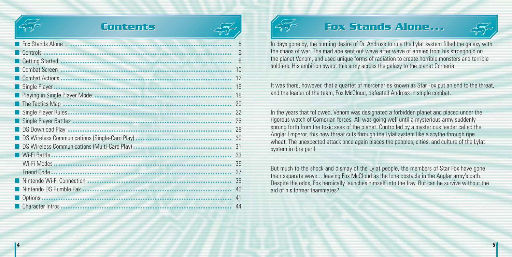

## **Contents Contents**

| Fox Stands Alone                                 | 5  |
|--------------------------------------------------|----|
| Controls<br>                                     | 6  |
| <b>Getting Started</b>                           | 8  |
| Combat Screen                                    | 10 |
| <b>Combat Actions</b><br>                        | 12 |
| Single Player.<br>                               | 16 |
| Playing in Single Player Mode                    | 18 |
| The Tactics Map                                  | 20 |
|                                                  | 22 |
| Single Player Battles                            | 26 |
|                                                  | 28 |
| ■ DS Wireless Communications (Single-Card Play). | 30 |
| ■ DS Wireless Communications (Multi-Card Play).  | 31 |
| <b>Wi-Fi Battle</b><br>                          | 33 |
| Wi-Fi Modes<br>                                  | 35 |
| Friend Code                                      | 37 |
| Nintendo Wi-Fi Connection                        | 39 |
| Nintendo DS Rumble Pak                           | 40 |
| <b>Options</b>                                   | 41 |
| Character Intros                                 | 44 |



## **Fox Stands Alone...**



In days gone by, the burning desire of Dr. Andross to rule the Lylat system filled the galaxy with the chaos of war. The mad ape sent out wave after wave of armies from his stronghold on the planet Venom, and used unique forms of radiation to create horrible monsters and terrible soldiers. His ambition swept this army across the galaxy to the planet Corneria.

It was there, however, that a quartet of mercenaries known as Star Fox put an end to the threat, and the leader of the team, Fox McCloud, defeated Andross in single combat.

In the years that followed, Venom was designated a forbidden planet and placed under the rigorous watch of Cornerian forces. All was going well until a mysterious army suddenly sprung forth from the toxic seas of the planet. Controlled by a mysterious leader called the Anglar Emperor, this new threat cuts through the Lylat system like a scythe through ripe wheat. The unexpected attack once again places the peoples, cities, and culture of the Lylat system in dire peril.

But much to the shock and dismay of the Lylat people, the members of Star Fox have gone their separate ways... leaving Fox McCloud as the lone obstacle in the Anglar army's path. Despite the odds, Fox heroically launches himself into the fray. But can he survive without the aid of his former teammates?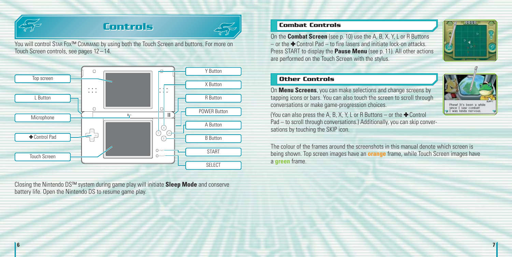

## **Controls Controls**



**6 7**

You will control STAR FOX™ COMMAND by using both the Touch Screen and buttons. For more on Touch Screen controls, see pages 12 – 14.



Closing the Nintendo DS™ system during game play will initiate **Sleep Mode** and conserve battery life. Open the Nintendo DS to resume game play.

#### **Combat Controls**

On the **Combat Screen** (see p. 10) use the A, B, X, Y, L or R Buttons  $-$  or the  $\triangle$  Control Pad  $-$  to fire lasers and initiate lock-on attacks. Press START to display the **Pause Menu** (see p. 11). All other actions are performed on the Touch Screen with the stylus.



#### **Other Controls**

On **Menu Screens**, you can make selections and change screens by tapping icons or bars. You can also touch the screen to scroll through conversations or make game-progression choices.

(You can also press the A, B, X, Y, L or R Buttons – or the  $\triangle$  Control Pad – to scroll through conversations.) Additionally, you can skip conversations by touching the SKIP icon.

The colour of the frames around the screenshots in this manual denote which screen is being shown. Top screen images have an **orange** frame, while Touch Screen images have <sup>a</sup>**green** frame.

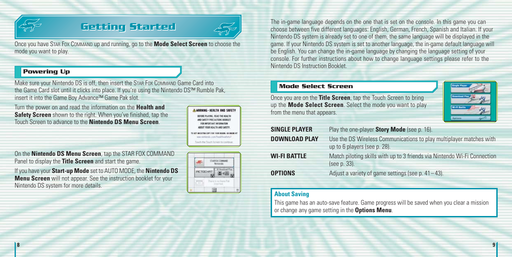

## **Getting Started Getting Started**



Once you have STAR FOX COMMAND up and running, go to the **Mode Select Screen** to choose the mode you want to play.

#### **Powering Up**

Make sure your Nintendo DS is off, then insert the STAR FOX COMMAND Game Card into the Game Card slot until it clicks into place. If you're using the Nintendo DS™ Rumble Pak, insert it into the Game Boy Advance™ Game Pak slot.

Turn the power on and read the information on the **Health and Safety Screen** shown to the right. When you've finished, tap the Touch Screen to advance to the **Nintendo DS Menu Screen**.



On the **Nintendo DS Menu Screen**, tap the STAR FOX COMMAND Panel to display the **Title Screen** and start the game.

If you have your **Start-up Mode** set to AUTO MODE, the **Nintendo DS Menu Screen** will not appear. See the instruction booklet for your Nintendo DS system for more details.

The in-game language depends on the one that is set on the console. In this game you can choose between five different languages: English, German, French, Spanish and Italian. If your Nintendo DS system is already set to one of them, the same language will be displayed in the game. If your Nintendo DS system is set to another language, the in-game default language will be English. You can change the in-game language by changing the language setting of your console. For further instructions about how to change language settings please refer to the Nintendo DS Instruction Booklet.

#### **Mode Select Screen**

Once you are on the **Title Screen**, tap the Touch Screen to bring up the **Mode Select Screen**. Select the mode you want to play from the menu that appears.

| <b>Single Player</b> |  |
|----------------------|--|
| <b>Download Play</b> |  |
| Wi-Fi Battle         |  |
|                      |  |

| <b>SINGLE PLAYER</b> | Play the one-player Story Mode (see p. 16).                                                         |
|----------------------|-----------------------------------------------------------------------------------------------------|
| <b>DOWNLOAD PLAY</b> | Use the DS Wireless Communications to play multiplayer matches with<br>up to 6 players (see p. 28). |
| <b>WI-FI BATTLE</b>  | Match piloting skills with up to 3 friends via Nintendo Wi-Fi Connection<br>(see p. 33).            |
| <b>OPTIONS</b>       | Adjust a variety of game settings (see p. $41-43$ ).                                                |

#### **About Saving**

This game has an auto-save feature. Game progress will be saved when you clear a mission or change any game setting in the **Options Menu**.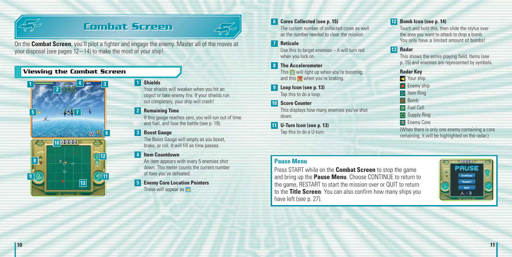

## **Combat Screen Combat Screen**



On the **Combat Screen**, you'll pilot a fighter and engage the enemy. Master all of the moves at your disposal (see pages 12 – 14) to make the most of your ship!

#### **Viewing the Combat Screen**



#### **Shields**

Your shields will weaken when you hit an object or take enemy fire. If your shields run out completely, your ship will crash!

#### **2** Remaining Time

If this gauge reaches zero, you will run out of time and fuel, and lose the battle (see p. 19).

#### **Boost Gauge 3**

The Boost Gauge will empty as you boost, brake, or roll. It will fill as time passes.

#### *A* Item Countdown

An item appears with every 5 enemies shot down. This meter counts the current number of foes you've defeated.

#### **Enemy Core Location Pointers** These will appear as **d**.

#### **Cores Collected (see p. 15) 6**

The current number of collected cores as well as the number needed to clear the mission.

#### **Reticule 7**

Use this to target enemies – it will turn red when you lock on.

**The Accelerometer 8**

This  $\blacksquare$  will light up when you're boosting, and this  $\blacktriangledown$  when you're braking.

- **Loop Icon (see p. 13) 9** Tap this to do a loop.
- **Score Counter 10** This displays how many enemies you've shot down.
- **U-Turn Icon (see p. 13) 11** Tap this to do a U-turn.

#### **12** Bomb Icon (see p. 14)

Touch and hold this, then slide the stylus over the area you want to attack to drop a bomb. You only have <sup>a</sup> limited amount of bombs!

#### **Radar 13**

This shows the entire playing field. Items (see p. 15) and enemies are represented by symbols.

- **Radar Key**
- Your ship
- **C** Enemy ship
- **Item Ring**
- **Bomb**
- 
- **Fuel Cell**
- **Bill** Supply Ring
- Enemy Core

(When there is only one enemy containing a core remaining, it will be highlighted on the radar.)

#### **Pause Menu**

Press START while on the **Combat Screen** to stop the game and bring up the **Pause Menu**. Choose CONTINUE to return to the game, RESTART to start the mission over or QUIT to return to the **Title Screen**. You can also confirm how many ships you have left (see p. 27).

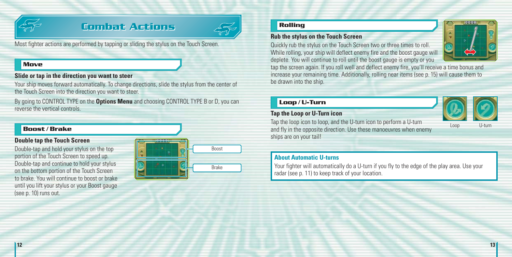

## **Combat Actions Combat Actions**



Most fighter actions are performed by tapping or sliding the stylus on the Touch Screen.

#### **Move**

#### **Slide or tap in the direction you want to steer**

Your ship moves forward automatically. To change directions, slide the stylus from the center of the Touch Screen into the direction you want to steer.

By going to CONTROL TYPE on the **Options Menu** and choosing CONTROL TYPE B or D, you can reverse the vertical controls.

#### **Boost / Brake**

#### **Double tap the Touch Screen**

Double-tap and hold your stylus on the top portion of the Touch Screen to speed up. Double-tap and continue to hold your stylus on the bottom portion of the Touch Screen to brake. You will continue to boost or brake until you lift your stylus or your Boost gauge (see p. 10) runs out.

| --<br>$\overline{ }$ | Boost        |
|----------------------|--------------|
|                      | <b>Brake</b> |

#### **Rolling**

#### **Rub the stylus on the Touch Screen**

Quickly rub the stylus on the Touch Screen two or three times to roll. While rolling, your ship will deflect enemy fire and the boost gauge will deplete. You will continue to roll until the boost gauge is empty or you



tap the screen again. If you roll well and deflect enemy fire, you'll receive a time bonus and increase your remaining time. Additionally, rolling near items (see p. 15) will cause them to be drawn into the ship.

#### **Loop / U-Turn**

#### **Tap the Loop or U-Turn icon**



Tap the loop icon to loop, and the U-turn icon to perform a U-turn and fly in the opposite direction. Use these manoeuvres when enemy ships are on your tail!

#### Loop U-turn

#### **About Automatic U-turns**

Your fighter will automatically do a U-turn if you fly to the edge of the play area. Use your radar (see p. 11) to keep track of your location.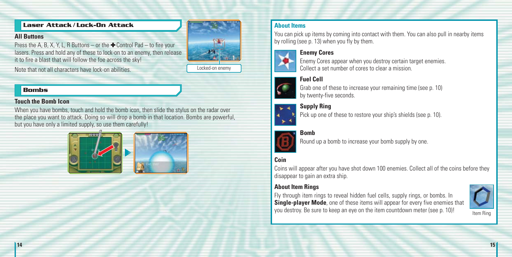#### **Laser Attack / Lock-On Attack**

#### **All Buttons**

Press the A, B, X, Y, L, R Buttons – or the  $\bigoplus$  Control Pad – to fire your lasers. Press and hold any of these to lock-on to an enemy, then release it to fire a blast that will follow the foe across the sky!

Note that not all characters have lock-on abilities.



#### **Bombs**

#### **Touch the Bomb Icon**

When you have bombs, touch and hold the bomb icon, then slide the stylus on the radar over the place you want to attack. Doing so will drop a bomb in that location. Bombs are powerful, but you have only a limited supply, so use them carefully!





by rolling (see p. 13) when you fly by them. **Enemy Cores**



**About Items**

**Supply Ring** Pick up one of these to restore your ship's shields (see p. 10).

You can pick up items by coming into contact with them. You can also pull in nearby items

Enemy Cores appear when you destroy certain target enemies.

Collect a set number of cores to clear a mission.

#### **Bomb**

Round up a bomb to increase your bomb supply by one.

## **Coin**

Coins will appear after you have shot down 100 enemies. Collect all of the coins before they disappear to gain an extra ship.

#### **About Item Rings**

Fly through item rings to reveal hidden fuel cells, supply rings, or bombs. In **Single-player Mode**, one of these items will appear for every five enemies that you destroy. Be sure to keep an eye on the item countdown meter (see p. 10)!

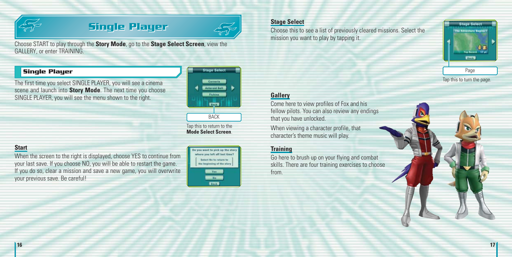

## **Single Player Single Player**



Choose START to play through the **Story Mode**, go to the **Stage Select Screen**, view the GALLERY, or enter TRAINING.

#### **Single Player**

The first time you select SINGLE PLAYER, you will see a cinema scene and launch into **Story Mode**. The next time you choose SINGLE PLAYER, you will see the menu shown to the right.



**BACK** Tap this to return to the **Mode Select Screen**.

## **Start**

When the screen to the right is displayed, choose YES to continue from your last save. If you choose NO, you will be able to restart the game. If you do so, clear <sup>a</sup> mission and save <sup>a</sup> new game, you will overwrite your previous save. Be careful!



#### **Stage Select**

Choose this to see a list of previously cleared missions. Select the mission you want to play by tapping it.



Tap this to turn the page.

#### **Gallery**

Come here to view profiles of Fox and his fellow pilots. You can also review any endings that you have unlocked.

When viewing a character profile, that character's theme music will play.

#### **Training**

Go here to brush up on your flying and combat skills. There are four training exercises to choose from.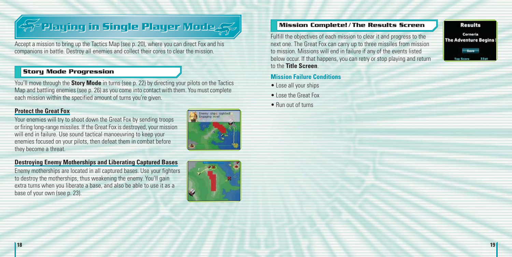# **Playing in Single Player Mode Playing in Single Player Mode**

Accept a mission to bring up the Tactics Map (see p. 20), where you can direct Fox and his companions in battle. Destroy all enemies and collect their cores to clear the mission.

#### **Story Mode Progression**

You'll move through the **Story Mode** in turns (see p. 22) by directing your pilots on the Tactics Map and battling enemies (see p. 26) as you come into contact with them. You must complete each mission within the specified amount of turns you're given.

#### **Protect the Great Fox**

Your enemies will try to shoot down the Great Fox by sending troops or firing long-range missiles. If the Great Fox is destroyed, your mission will end in failure. Use sound tactical manoeuvring to keep your enemies focused on your pilots, then defeat them in combat before they become a threat.

#### **Destroying Enemy Motherships and Liberating Captured Bases**

Enemy motherships are located in all captured bases. Use your fighters to destroy the motherships, thus weakening the enemy. You'll gain extra turns when you liberate a base, and also be able to use it as a base of your own (see p. 23).

# ×

#### **Mission Complete! / The Results Screen**

Fulfill the objectives of each mission to clear it and progress to the next one. The Great Fox can carry up to three missiles from mission to mission. Missions will end in failure if any of the events listed below occur. If that happens, you can retry or stop playing and return to the **Title Screen**.

#### **Mission Failure Conditions**

- Lose all your ships
- Lose the Great Fox
- Run out of turns



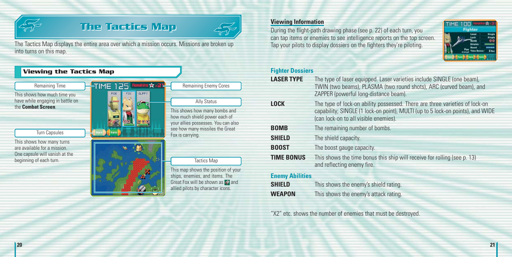

the

This are One begi

# **The Tactics Map Viewing Information**<br>During the flight-path drawing phase (see p. 22) of each turn, you



The Tactics Map displays the entire area over which a mission occurs. Missions are broken up into turns on this map.

| <b>Viewing the Tactics Map</b>                                                                                         |                              |                                                                                                                                                                      |
|------------------------------------------------------------------------------------------------------------------------|------------------------------|----------------------------------------------------------------------------------------------------------------------------------------------------------------------|
| Remaining Time                                                                                                         | <b>TIME 125</b>              | <b>Remaining Enemy Cores</b>                                                                                                                                         |
| This shows how much time you<br>have while engaging in battle on<br>the Combat Screen.<br>Turn Capsules                | <b>SLIPP</b> Y<br><b>ROB</b> | Ally Status<br>This shows how many bombs a<br>how much shield power each o<br>your allies possesses. You can<br>see how many missiles the Gre                        |
| This shows how many turns<br>are available for a mission.<br>One capsule will vanish at the<br>beginning of each turn. |                              | Fox is carrying.<br>Tactics Map<br>This map shows the position of<br>ships, enemies, and items. Th<br>Great Fox will be shown as<br>allied pilots by character icons |

show many bombs and shield power each of possesses. You can also any missiles the Great Fox is carrying.

hows the position of your mies, and items. The will be shown as **A** and s by character icons.

can tap items or enemies to see intelligence reports on the top screen. Tap your pilots to display dossiers on the fighters they're piloting.



#### **Fighter Dossiers**

| <b>LASER TYPE</b>       | The type of laser equipped. Laser varieties include SINGLE (one beam),<br>TWIN (two beams), PLASMA (two round shots), ARC (curved beam), and<br>ZAPPER (powerful long-distance beam).                  |
|-------------------------|--------------------------------------------------------------------------------------------------------------------------------------------------------------------------------------------------------|
| LOCK                    | The type of lock-on ability possessed. There are three varieties of lock-on<br>capability; SINGLE (1 lock-on point), MULTI (up to 5 lock-on points), and WIDE<br>(can lock-on to all visible enemies). |
| BOMB                    | The remaining number of bombs.                                                                                                                                                                         |
| SHIELD                  | The shield capacity.                                                                                                                                                                                   |
| BOOST                   | The boost gauge capacity.                                                                                                                                                                              |
| <b>TIME BONUS</b>       | This shows the time bonus this ship will receive for rolling (see p. 13)<br>and reflecting enemy fire.                                                                                                 |
| Parameter Adult Malaysi |                                                                                                                                                                                                        |

#### **Enemy Abilities**

**SHIELD** This shows the enemy's shield rating. **WEAPON** This shows the enemy's attack rating.

"X2" etc. shows the number of enemies that must be destroyed.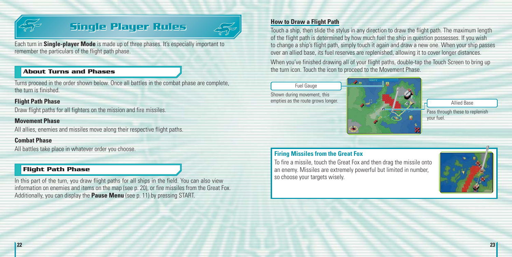

## **Single Player Rules Single Player Rules**



Each turn in **Single-player Mode** is made up of three phases. It's especially important to remember the particulars of the flight path phase.

#### **About Turns and Phases**

Turns proceed in the order shown below. Once all battles in the combat phase are complete, the turn is finished.

#### **Flight Path Phase**

Draw flight paths for all fighters on the mission and fire missiles.

#### **Movement Phase**

All allies, enemies and missiles move along their respective flight paths.

#### **Combat Phase**

All battles take place in whatever order you choose.

#### **Flight Path Phase**

In this part of the turn, you draw flight paths for all ships in the field. You can also view information on enemies and items on the map (see p. 20), or fire missiles from the Great Fox. Additionally, you can display the **Pause Menu** (see p. 11) by pressing START.

#### **How to Draw a Flight Path**

Touch a ship, then slide the stylus in any direction to draw the flight path. The maximum length of the flight path is determined by how much fuel the ship in question possesses. If you wish to change a ship's flight path, simply touch it again and draw a new one. When your ship passes over an allied base, its fuel reserves are replenished, allowing it to cover longer distances.

When you've finished drawing all of your flight paths, double-tap the Touch Screen to bring up the turn icon. Touch the icon to proceed to the Movement Phase.



Pass through these to replenish your fuel.

#### **Firing Missiles from the Great Fox**

To fire a missile, touch the Great Fox and then drag the missile onto an enemy. Missiles are extremely powerful but limited in number, so choose your targets wisely.

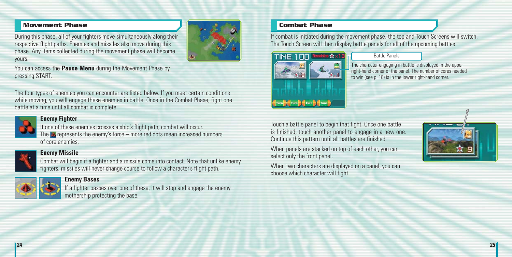#### **Movement Phase**

During this phase, all of your fighters move simultaneously along their respective flight paths. Enemies and missiles also move during this phase. Any items collected during the movement phase will become yours.



You can access the **Pause Menu** during the Movement Phase by pressing START.

The four types of enemies you can encounter are listed below. If you meet certain conditions while moving, you will engage these enemies in battle. Once in the Combat Phase, fight one battle at a time until all combat is complete.



#### **Enemy Fighter**

If one of these enemies crosses a ship's flight path, combat will occur. The  $\rightarrow$  represents the enemy's force – more red dots mean increased numbers of core enemies.



#### **Enemy Missile**

Combat will begin if a fighter and a missile come into contact. Note that unlike enemy fighters, missiles will never change course to follow a character's flight path.



#### **Enemy Bases**

If a fighter passes over one of these, it will stop and engage the enemy mothership protecting the base.

#### **Combat Phase**

If combat is initiated during the movement phase, the top and Touch Screens will switch. The Touch Screen will then display battle panels for all of the upcoming battles.



#### Battle Panels

The character engaging in battle is displayed in the upper right-hand corner of the panel. The number of cores needed to win (see p. 18) is in the lower right-hand corner.

Touch a battle panel to begin that fight. Once one battle is finished, touch another panel to engage in <sup>a</sup> new one. Continue this pattern until all battles are finished.

When panels are stacked on top of each other, you can select only the front panel.

When two characters are displayed on a panel, you can choose which character will fight.

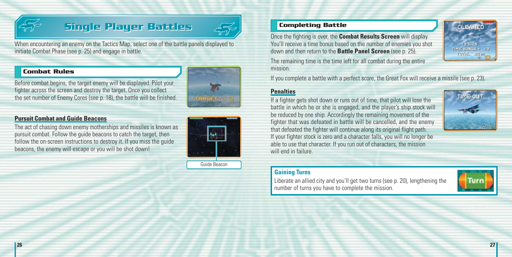

## **Single Player Battles Single Player Battles Completing Battle**



When encountering an enemy on the Tactics Map, select one of the battle panels displayed to initiate Combat Phase (see p. 25) and engage in battle.

#### **Combat Rules**



fighter across the screen and destroy the target. Once you collect the set number of Enemy Cores (see p. 18), the battle will be finished.

Before combat begins, the target enemy will be displayed. Pilot your

#### **Pursuit Combat and Guide Beacons**

The act of chasing down enemy motherships and missiles is known as pursuit combat. Follow the guide beacons to catch the target, then follow the on-screen instructions to destroy it. If you miss the guide beacons, the enemy will escape or you will be shot down!



Guide Beacon

Once the fighting is over, the **Combat Results Screen** will display. You'll receive a time bonus based on the number of enemies you shot down and then return to the **Battle Panel Screen** (see p. 25).



The remaining time is the time left for all combat during the entire mission.

If you complete a battle with a perfect score, the Great Fox will receive a missile (see p. 23).

#### **Penalties**

If a fighter gets shot down or runs out of time, that pilot will lose the battle in which he or she is engaged, and the player's ship stock will be reduced by one ship. Accordingly the remaining movement of the fighter that was defeated in battle will be cancelled, and the enemy that defeated the fighter will continue along its original flight path. If your fighter stock is zero and a character falls, you will no longer be able to use that character. If you run out of characters, the mission will end in failure.



#### **Gaining Turns**

Liberate an allied city and you'll get two turns (see p. 20), lengthening the number of turns you have to complete the mission.

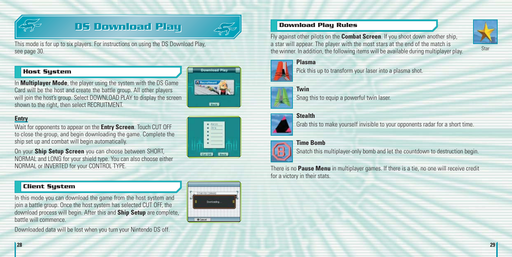

## **DS Download Play DS Download Play**



This mode is for up to six players. For instructions on using the DS Download Play, see page 30.

#### **Host System**

shown to the right, then select RECRUITMENT.



### **Entry**

Wait for opponents to appear on the **Entry Screen**. Touch CUT OFF to close the group, and begin downloading the game. Complete the ship set up and combat will begin automatically.

In **Multiplayer Mode**, the player using the system with the DS Game Card will be the host and create the battle group. All other players

On your **Ship Setup Screen** you can choose between SHORT, NORMAL and LONG for your shield type. You can also choose either NORMAL or INVERTED for your CONTROL TYPE.

#### **Client System**

In this mode you can download the game from the host system and join a battle group. Once the host system has selected CUT OFF, the download process will begin. After this and **Ship Setup** are complete, battle will commence.

Downloaded data will be lost when you turn your Nintendo DS off.



T & ISTANTOK COMMA

**O** Cancel

#### **Download Play Rules**

Fly against other pilots on the **Combat Screen**. If you shoot down another ship, a star will appear. The player with the most stars at the end of the match is the winner. In addition, the following items will be available during multiplayer play.



Pick this up to transform your laser into a plasma shot.



Snag this to equip a powerful twin laser.

#### **Stealth**

Grab this to make yourself invisible to your opponents radar for a short time.



#### **Time Bomb**

Snatch this multiplayer-only bomb and let the countdown to destruction begin.

There is no **Pause Menu** in multiplayer games. If there is a tie, no one will receive credit for a victory in their stats.

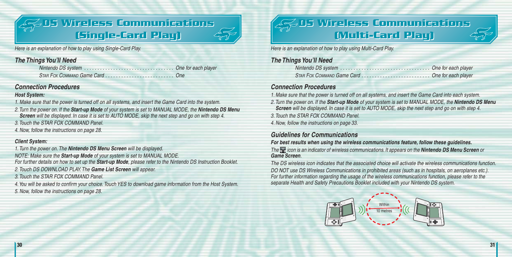## **DS Wireless Communications DS Wireless Communications (Single-Card Play) (Single-Card Play)**



Here is an explanation of how to play using Single-Card Play.

#### *The Things You'll Need*

Nintendo DS system . . . . . . . . . . . . . . . . . . . . . . . . . . . . . . . . . . One for each player STAR FOX COMMAND Game Card . . . . . . . . . . . . . . . . . . . . . . . . . . One

#### *Connection Procedures*

#### *Host System:*

1. Make sure that the power is turned off on all systems, and insert the Game Card into the system.

- 2. Turn the power on. If the *Start-up Mode* of your system is set to MANUAL MODE, the *Nintendo DS Menu Screen* will be displayed. In case it is set to AUTO MODE, skip the next step and go on with step 4.
- 3. Touch the STAR FOX COMMAND Panel.
- 4. Now, follow the instructions on page 28.

#### *Client System:*

1. Turn the power on. The *Nintendo DS Menu Screen* will be displayed.

NOTE: Make sure the *Start-up Mode* of your system is set to MANUAL MODE. For further details on how to set up the *Start-up Mode*, please refer to the Nintendo DS Instruction Booklet.

2. Touch DS DOWNLOAD PLAY. The *Game List Screen* will appear.

3. Touch the STAR FOX COMMAND Panel.

4.You will be asked to confirm your choice. Touch YES to download game information from the Host System. 5. Now, follow the instructions on page 28.

## **DS Wireless Communications DS Wireless Communications (Multi-Card Play) (Multi-Card Play)**



Here is an explanation of how to play using Multi-Card Play.

### *The Things You'll Need*

| -- |  |
|----|--|
|    |  |

#### *Connection Procedures*

1. Make sure that the power is turned off on all systems, and insert the Game Card into each system.

2. Turn the power on. If the *Start-up Mode* of your system is set to MANUAL MODE, the *Nintendo DS Menu Screen* will be displayed. In case it is set to AUTO MODE, skip the next step and go on with step 4.

3. Touch the STAR FOX COMMAND Panel.

4. Now, follow the instructions on page 33.

### *Guidelines for Communications*

*For best results when using the wireless communications feature, follow these guidelines.* The icon is an indicator of wireless communications. It appears on the *Nintendo DS Menu Screen* or *Game Screen*.

The DS wireless icon indicates that the associated choice will activate the wireless communications function. DO NOT use DS Wireless Communications in prohibited areas (such as in hospitals, on aeroplanes etc.). For further information regarding the usage of the wireless communications function, please refer to the separate Health and Safety Precautions Booklet included with your Nintendo DS system.

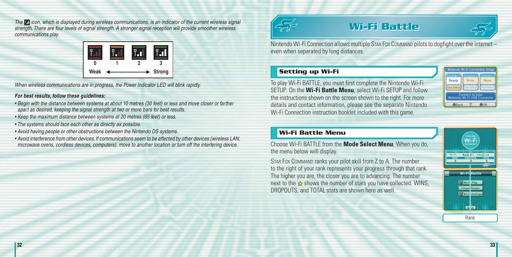The **in** icon, which is displayed during wireless communications, is an indicator of the current wireless signal strength. There are four levels of signal strength. A stronger signal reception will provide smoother wireless communications play.



When wireless communications are in progress, the Power Indicator LED will blink rapidly.

#### *For best results, follow these guidelines:*

- Begin with the distance between systems at about 10 metres (30 feet) or less and move closer or farther apart as desired, keeping the signal strength at two or more bars for best results.
- Keep the maximum distance between systems at 20 metres (65 feet) or less.
- The systems should face each other as directly as possible.
- Avoid having people or other obstructions between the Nintendo DS systems.
- Avoid interference from other devices. If communications seem to be affected by other devices (wireless LAN, microwave ovens, cordless devices, computers), move to another location or turn off the interfering device.



# **Wi-Fi Battle Wi-Fi Battle**



Nintendo Wi-Fi Connection allows multiple STAR FOX COMMAND pilots to dogfight over the internet – even when separated by long distances.

#### **Setting up Wi-Fi**

To play Wi-Fi BATTLE, you must first complete the Nintendo Wi-Fi SETUP. On the **Wi-Fi Battle Menu**, select Wi-Fi SETUP and follow the instructions shown on the screen shown to the right. For more details and contact information, please see the separate Nintendo Wi-Fi Connection instruction booklet included with this game.

|  | None     |
|--|----------|
|  | chi Esta |

#### **Wi-Fi Battle Menu**

Choose Wi-Fi BATTLE from the **Mode Select Menu**. When you do, the menu below will display.

STAR FOX COMMAND ranks your pilot skill from Z to A. The number to the right of your rank represents your progress through that rank. The higher you are, the closer you are to advancing. The number next to the  $\triangle$  shows the number of stars you have collected. WINS, DROPOUTS, and TOTAL stats are shown here as well.

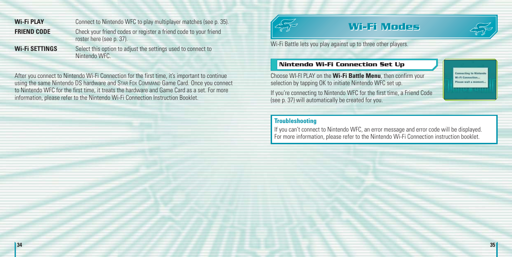**Wi-Fi PLAY** Connect to Nintendo WFC to play multiplayer matches (see p. 35). **FRIEND CODE** Check your friend codes or register a friend code to your friend roster here (see p. 37).

**Wi-Fi SETTINGS** Select this option to adjust the settings used to connect to Nintendo WFC.

After you connect to Nintendo Wi-Fi Connection for the first time, it's important to continue using the same Nintendo DS hardware and STAR FOX COMMAND Game Card. Once you connect to Nintendo WFC for the first time, it treats the hardware and Game Card as a set. For more information, please refer to the Nintendo Wi-Fi Connection Instruction Booklet.



## **Wi-Fi Modes Wi-Fi Modes**



**Connecting to 8 WLEI Connection** Please walt a moment

Wi-Fi Battle lets you play against up to three other players.

#### **Nintendo Wi-Fi Connection Set Up**

Choose WI-FI PLAY on the **Wi-Fi Battle Menu**, then confirm your selection by tapping OK to initiate Nintendo WFC set up.

If you're connecting to Nintendo WFC for the first time, a Friend Code (see p. 37) will automatically be created for you.

#### **Troubleshooting**

If you can't connect to Nintendo WFC, an error message and error code will be displayed. For more information, please refer to the Nintendo Wi-Fi Connection instruction booklet.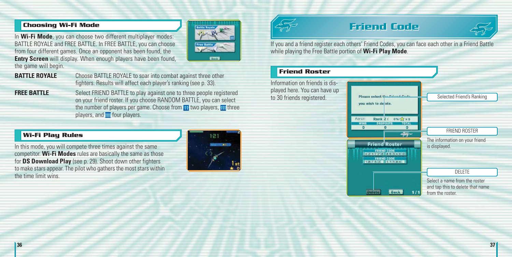#### **Choosing Wi-Fi Mode**

In **Wi-Fi Mode**, you can choose two different multiplayer modes: BATTLE ROYALE and FREE BATTLE. In FREE BATTLE, you can choose from four different games. Once an opponent has been found, the **Entry Screen** will display. When enough players have been found. the game will begin.



**BATTLE ROYALE** Choose BATTLE ROYALE to soar into combat against three other fighters. Results will affect each player's ranking (see p. 33).

**FREE BATTLE** Select FRIEND BATTLE to play against one to three people registered on your friend roster. If you choose RANDOM BATTLE, you can select the number of players per game. Choose from  $\mathbf{u}$  two players,  $\mathbf{u}$  three players, and  $\overline{f}$  four players.

### **Wi-Fi Play Rules**

In this mode, you will compete three times against the same competitor. **Wi-Fi Modes** rules are basically the same as those for **DS Download Play** (see p. 29). Shoot down other fighters to make stars appear. The pilot who gathers the most stars within the time limit wins.





## **Friend Code Friend Code**



If you and a friend register each others' Friend Codes, you can face each other in a Friend Battle while playing the Free Battle portion of **Wi-Fi Play Mode**.

#### **Friend Roster**

Information on friends is displayed here. You can have up Please select the Friend Cade Selected Friend's Ranking to 30 friends registered. vou wish to de ete. Rank Z ( 0%) x x 0 Aaron **TOTAL WINS**  $\overline{a}$ FRIEND ROSTER The information on your friend **Friend Roster** is displayed. **FRIEND CODE TRIZERIEND CODE** DELETE Select a name from the roster and tap this to delete that name **Back** from the roster.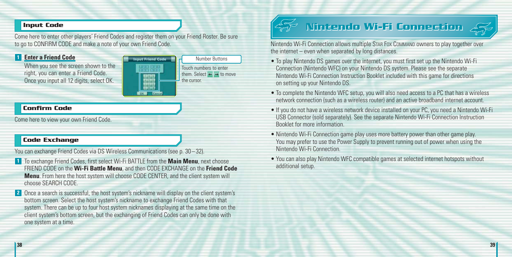#### **Input Code**

Come here to enter other players' Friend Codes and register them on your Friend Roster. Be sure to go to CONFIRM CODE and make a note of your own Friend Code.

691363

#### **Enter a Friend Code 1**

When you see the screen shown to the right, you can enter <sup>a</sup> Friend Code. Once you input all 12 digits, select OK.

Number Buttons **Input Friend Code** Touch numbers to enter them. Select  $\leftarrow \rightarrow$  to move the cursor.

#### **Confirm Code**

Come here to view your own Friend Code.

### **Code Exchange**

You can exchange Friend Codes via DS Wireless Communications (see p. 30 – 32).

- **1** To exchange Friend Codes, first select Wi-Fi BATTLE from the **Main Menu**, next choose FRIEND CODE on the **Wi-Fi Battle Menu**, and then CODE EXCHANGE on the **Friend Code Menu**. From here the host system will choose CODE CENTER, and the client system will choose SEARCH CODE.
- Once a search is successful, the host system's nickname will display on the client system's **2** bottom screen. Select the host system's nickname to exchange Friend Codes with that system. There can be up to four host system nicknames displaying at the same time on the client system's bottom screen, but the exchanging of Friend Codes can only be done with one system at a time.



# **Nintendo Wi-Fi Connection Nintendo Wi-Fi Connection**



Nintendo Wi-Fi Connection allows multiple STAR FOX COMMAND owners to play together over the internet – even when separated by long distances.

- To play Nintendo DS games over the internet, you must first set up the Nintendo Wi-Fi Connection (Nintendo WFC) on your Nintendo DS system. Please see the separate Nintendo Wi-Fi Connection Instruction Booklet included with this game for directions on setting up your Nintendo DS.
- To complete the Nintendo WFC setup, you will also need access to a PC that has a wireless network connection (such as a wireless router) and an active broadband internet account.
- If you do not have a wireless network device installed on your PC, you need a Nintendo Wi-Fi USB Connector (sold separately). See the separate Nintendo Wi-Fi Connection Instruction Booklet for more information.
- Nintendo Wi-Fi Connection game play uses more battery power than other game play. You may prefer to use the Power Supply to prevent running out of power when using the Nintendo Wi-Fi Connection.
- You can also play Nintendo WFC compatible games at selected internet hotspots without additional setup.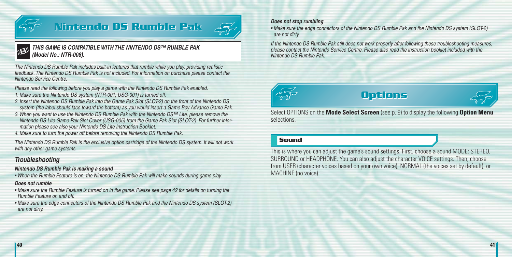

# **Nintendo DS Rumble Pak Nintendo DS Rumble Pak**



*THIS GAME IS COMPATIBLE WITH THE NINTENDO DS™ RUMBLE PAK (Model No.: NTR-008).*

The Nintendo DS Rumble Pak includes built-in features that rumble while you play, providing realistic feedback. The Nintendo DS Rumble Pak is not included. For information on purchase please contact the Nintendo Service Centre.

Please read the following before you play a game with the Nintendo DS Rumble Pak enabled. 1. Make sure the Nintendo DS system (NTR-001, USG-001) is turned off.

- 2. Insert the Nintendo DS Rumble Pak into the Game Pak Slot (SLOT-2) on the front of the Nintendo DS system (the label should face toward the bottom) as you would insert a Game Boy Advance Game Pak.
- 3. When you want to use the Nintendo DS Rumble Pak with the Nintendo DS™ Lite, please remove the Nintendo DS Lite Game Pak Slot Cover (USG-005) from the Game Pak Slot (SLOT-2). For further information please see also your Nintendo DS Lite Instruction Booklet.

4. Make sure to turn the power off before removing the Nintendo DS Rumble Pak.

The Nintendo DS Rumble Pak is the exclusive option cartridge of the Nintendo DS system. It will not work with any other game systems.

#### *Troubleshooting*

#### *Nintendo DS Rumble Pak is making a sound*

• When the Rumble Feature is on, the Nintendo DS Rumble Pak will make sounds during game play.

#### *Does not rumble*

- Make sure the Rumble Feature is turned on in the game. Please see page 42 for details on turning the Rumble Feature on and off.
- Make sure the edge connectors of the Nintendo DS Rumble Pak and the Nintendo DS system (SLOT-2) are not dirty.

#### *Does not stop rumbling*

• Make sure the edge connectors of the Nintendo DS Rumble Pak and the Nintendo DS system (SLOT-2) are not dirty.

If the Nintendo DS Rumble Pak still does not work properly after following these troubleshooting measures, please contact the Nintendo Service Centre. Please also read the instruction booklet included with the Nintendo DS Rumble Pak.



## **Options Options**



Select OPTIONS on the **Mode Select Screen** (see p. 9) to display the following **Option Menu** selections.

#### **Sound**

This is where you can adjust the game's sound settings. First, choose a sound MODE: STEREO, SURROUND or HEADPHONE. You can also adjust the character VOICE settings. Then, choose from USER (character voices based on your own voice), NORMAL (the voices set by default), or MACHINE (no voice).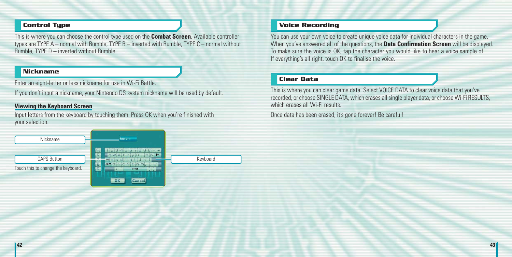#### **Control Type**

This is where you can choose the control type used on the **Combat Screen**. Available controller types are TYPE A – normal with Rumble, TYPE B – inverted with Rumble, TYPE C – normal without Rumble, TYPE D – inverted without Rumble.

#### **Nickname**

Enter an eight-letter or less nickname for use in Wi-Fi Battle.

If you don't input a nickname, your Nintendo DS system nickname will be used by default.

#### **Viewing the Keyboard Screen**

Input letters from the keyboard by touching them. Press OK when you're finished with your selection.



#### **Voice Recording**

You can use your own voice to create unique voice data for individual characters in the game. When you've answered all of the questions, the **Data Confirmation Screen** will be displayed. To make sure the voice is OK, tap the character you would like to hear <sup>a</sup> voice sample of. If everything's all right, touch OK to finalise the voice.

#### **Clear Data**

This is where you can clear game data. Select VOICE DATA to clear voice data that you've recorded, or choose SINGLE DATA, which erases all single player data, or choose Wi-Fi RESULTS, which erases all Wi-Fi results.

Once data has been erased, it's gone forever! Be careful!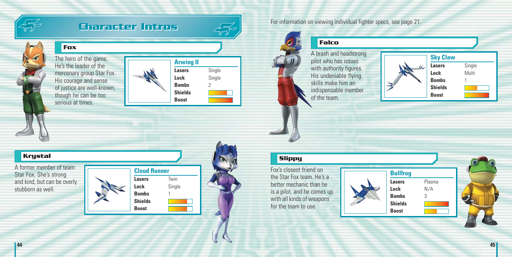

B

## **Character Intros Character Intros**



The hero of the game. He's the leader of the mercenary group Star Fox. His courage and sense of justice are well-known, though he can be too serious at times.

**Fox**



**Lasers** Single **Lock** Single **Bombs** 2 **Shields**

### **Krystal**

A former member of team Star Fox. She's strong and kind, but can be overly stubborn as well.





For information on viewing individual fighter specs, see page 21.

## **Falco**

A brash and headstrong pilot who has issues with authority figures. His undeniable flying skills make him an indispensable member of the team.



## **Slippy**

Fox's closest friend on the Star Fox team. He's a better mechanic than he is a pilot, and he comes up with all kinds of weapons for the team to use.

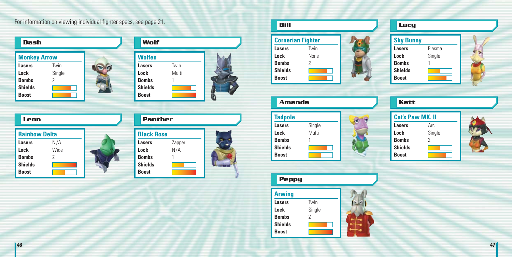For information on viewing individual fighter specs, see page 21.

| Dash                |        |  |
|---------------------|--------|--|
| <b>Monkey Arrow</b> |        |  |
| <b>Lasers</b>       | Twin   |  |
| Lock                | Single |  |
| <b>Bombs</b>        | 2      |  |
| <b>Shields</b>      |        |  |
| <b>Boost</b>        |        |  |



| Leon                 |      | <b>Panther</b>    |        |
|----------------------|------|-------------------|--------|
| <b>Rainbow Delta</b> |      | <b>Black Rose</b> |        |
| <b>Lasers</b>        | N/A  | Lasers            | Zapper |
| Lock                 | Wide | Lock              | N/A    |
| <b>Bombs</b>         |      | <b>Bombs</b>      |        |
| <b>Shields</b>       |      | <b>Shields</b>    |        |
| <b>Boost</b>         |      | <b>Boost</b>      |        |

| Bill                     |      |  |
|--------------------------|------|--|
| <b>Cornerian Fighter</b> |      |  |
| <b>Lasers</b>            | Twin |  |
| Lock                     | None |  |
| <b>Bombs</b>             | 2    |  |
| <b>Shields</b>           |      |  |
| <b>Boost</b>             |      |  |



#### **Tadpole**  $60$ **Lasers** Single **Lock** Multi **Bombs** 1 **Shields Boost**



**Lasers** Twin **Lock** Single **Bombs** 2 **Shields Boost**



| Lucy             |        |  |
|------------------|--------|--|
| <b>Sky Bunny</b> |        |  |
| <b>Lasers</b>    | Plasma |  |
| Lock             | Single |  |
| <b>Bombs</b>     |        |  |
| <b>Shields</b>   |        |  |
| <b>Boost</b>     |        |  |